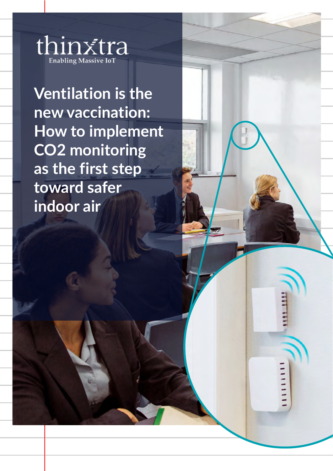

nibh **Ventilation is the new vaccination: How to implement CO2 monitoring as the first step toward safer indoor air**

 $1111111$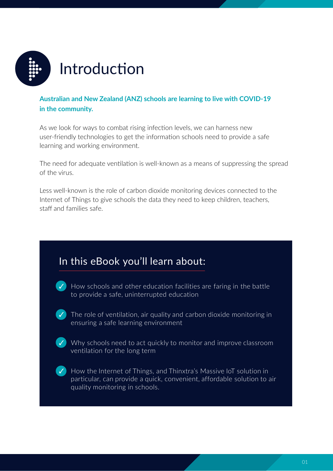

### **Australian and New Zealand (ANZ) schools are learning to live with COVID-19 in the community.**

As we look for ways to combat rising infection levels, we can harness new user-friendly technologies to get the information schools need to provide a safe learning and working environment.

The need for adequate ventilation is well-known as a means of suppressing the spread of the virus.

Less well-known is the role of carbon dioxide monitoring devices connected to the Internet of Things to give schools the data they need to keep children, teachers, staff and families safe.

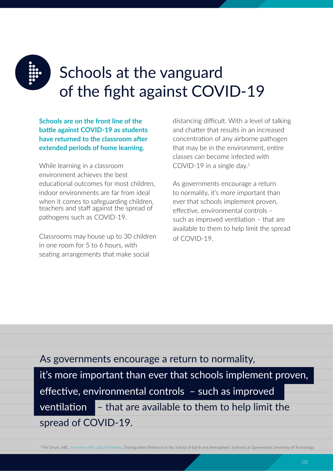

# Schools at the vanguard of the fight against COVID-19

**Schools are on the front line of the battle against COVID-19 as students have returned to the classroom a�er extended periods of home learning.**

While learning in a classroom environment achieves the best educational outcomes for most children. indoor environments are far from ideal when it comes to safeguarding children. teachers and staff against the spread of pathogens such as COVID-19.

Classrooms may house up to 30 children in one room for 5 to 6 hours, with seating arrangements that make social

distancing difficult. With a level of talking and chatter that results in an increased concentration of any airborne pathogen that may be in the environment, entire classes can become infected with COVID-19 in a single day.<sup>1</sup>

As governments encourage a return to normality, it's more important than ever that schools implement proven, effective, environmental controls such as improved ventilation – that are available to them to help limit the spread of COVID-19.

### As governments encourage a return to normality,

it's more important than ever that schools implement proven, effective, environmental controls - such as improved ventilation  $\overline{\phantom{a}}$  – that are available to them to help limit the spread of COVID-19.

<sup>1</sup> The Drum, ABC, [Interview with Lidia Morawska,](https://thinxtra.com/iot-solutions/iot-property-and-facilities-management/air-quality-monitoring-education/) Distinguished Professor in the School of Earth and Atmospheric Sciences at Queensland University of Technology.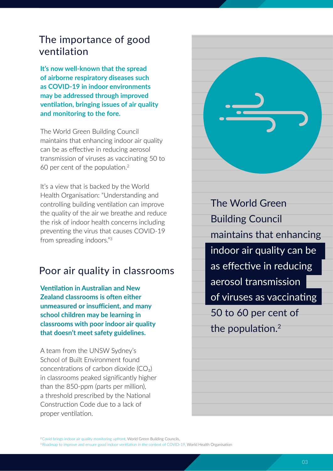## The importance of good ventilation

**It's now well-known that the spread of airborne respiratory diseases such as COVID-19 in indoor environments may be addressed through improved ventilation, bringing issues of air quality and monitoring to the fore.**

The World Green Building Council maintains that enhancing indoor air quality can be as effective in reducing aerosol transmission of viruses as vaccinating 50 to 60 per cent of the population. $2$ 

It's a view that is backed by the World Health Organisation: "Understanding and controlling building ventilation can improve the quality of the air we breathe and reduce the risk of indoor health concerns including preventing the virus that causes COVID-19 from spreading indoors."<sup>3</sup>

## Poor air quality in classrooms

**Ventilation in Australian and New Zealand classrooms is often either unmeasured or insufficient, and many school children may be learning in classrooms with poor indoor air quality that doesn't meet safety guidelines.**

A team from the UNSW Sydney's School of Built Environment found concentrations of carbon dioxide  $(CO<sub>2</sub>)$ in classrooms peaked significantly higher than the 850-ppm (parts per million), a threshold prescribed by the National Construction Code due to a lack of proper ventilation.



The World Green Building Council maintains that enhancing indoor air quality can be as effective in reducing aerosol transmission of viruses as vaccinating 50 to 60 per cent of the population. $2$ 

<sup>2</sup> [Covid brings indoor air quality monitoring upfront](https://www.worldgbc.org/news-media/covid-19-brings-indoor-air-quality-monitoring-upfront), World Green Building Councils,

<sup>&</sup>lt;sup>3</sup> Roadmap to improve and ensure good indoor ventilation in the context of COVID-19, World Health Organisation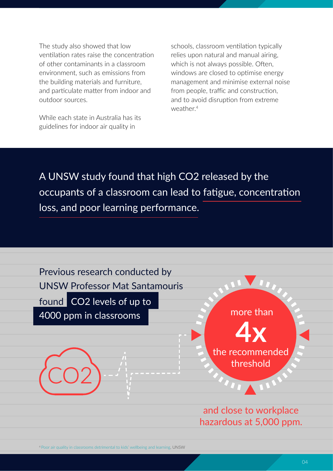The study also showed that low ventilation rates raise the concentration of other contaminants in a classroom environment, such as emissions from the building materials and furniture, and particulate matter from indoor and outdoor sources.

While each state in Australia has its guidelines for indoor air quality in

schools, classroom ventilation typically relies upon natural and manual airing, which is not always possible. Often, windows are closed to optimise energy management and minimise external noise from people, traffic and construction. and to avoid disruption from extreme weather<sup>4</sup>

A UNSW study found that high CO2 released by the occupants of a classroom can lead to fatigue, concentration loss, and poor learning performance.



<sup>4</sup> [Poor air quality in classrooms detrimental to kids' wellbeing and learning,](https://www.unsw.edu.au/news/2021/04/poor-air-quality-in-classrooms-detrimental-to-kids--wellbeing-an) UNSW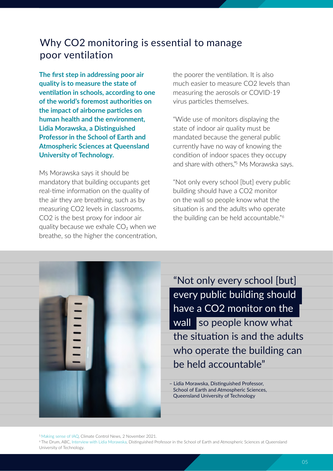## Why CO2 monitoring is essential to manage poor ventilation

**The first step in addressing poor air quality is to measure the state of ventilation in schools, according to one of the world's foremost authori�es on the impact of airborne par�cles on human health and the environment,** Lidia Morawska, a Distinguished **Professor in the School of Earth and Atmospheric Sciences at Queensland University of Technology.**

Ms Morawska says it should be mandatory that building occupants get real-time information on the quality of the air they are breathing, such as by measuring CO2 levels in classrooms. CO2 is the best proxy for indoor air quality because we exhale CO₂ when we breathe, so the higher the concentration, the poorer the ventilation. It is also much easier to measure CO2 levels than measuring the aerosols or COVID-19 virus particles themselves.

"Wide use of monitors displaying the state of indoor air quality must be mandated because the general public currently have no way of knowing the condition of indoor spaces they occupy and share with others," <sup>5</sup> Ms Morawska says.

"Not only every school [but] every public building should have a CO2 monitor on the wall so people know what the situation is and the adults who operate the building can be held accountable."<sup>6</sup>



"Not only every school [but] every public building should have a CO2 monitor on the wall so people know what the situation is and the adults who operate the building can be held accountable"

- Lidia Morawska, Distinguished Professor, School of Earth and Atmospheric Sciences, Queensland University of Technology

<sup>5</sup> [Making sense of IAQ,](https://www.climatecontrolnews.com.au/opinion/making-sense-of-iaq) Climate Control News, 2 November 2021.

<sup>6</sup> The Drum, ABC, [Interview with Lidia Morawska](https://thinxtra.com/iot-solutions/iot-property-and-facilities-management/air-quality-monitoring-education/), Distinguished Professor in the School of Earth and Atmospheric Sciences at Queensland University of Technology.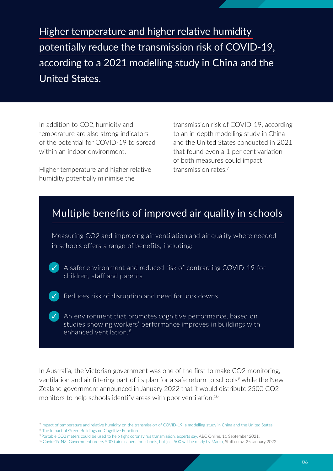Higher temperature and higher relative humidity potentially reduce the transmission risk of COVID-19, according to a 2021 modelling study in China and the United States.

In addition to CO2, humidity and temperature are also strong indicators of the potential for COVID-19 to spread within an indoor environment.

Higher temperature and higher relative humidity potentially minimise the

transmission risk of COVID-19, according to an in-depth modelling study in China and the United States conducted in 2021 that found even a 1 per cent variation of both measures could impact transmission rates<sup>7</sup>

## Multiple benefits of improved air quality in schools

Measuring CO2 and improving air ventilation and air quality where needed in schools offers a range of benefits, including:

A safer environment and reduced risk of contracting COVID-19 for children, staff and parents

Reduces risk of disruption and need for lock downs

 $\vee$  An environment that promotes cognitive performance, based on studies showing workers' performance improves in buildings with enhanced ventilation. 8

In Australia, the Victorian government was one of the first to make CO2 monitoring, ventilation and air filtering part of its plan for a safe return to schools<sup>9</sup> while the New Zealand government announced in January 2022 that it would distribute 2500 CO2 monitors to help schools identify areas with poor ventilation.<sup>10</sup>

<sup>&</sup>lt;sup>7</sup> Impact of temperature and relative humidity on the transmission of COVID-19: a modelling study in China and the United States

<sup>&</sup>lt;sup>8</sup> The Impact of Green Buildings on Cognitive Function

<sup>9</sup> [Portable CO2 meters could be used to help](https://www.abc.net.au/news/health/2021-09-11/covid-transmission-co2-carbon-dioxide-monitor-ventilation-school/100444884) fight coronavirus transmission, experts say, ABC Online, 11 September 2021.

<sup>10</sup>[Covid-19 NZ: Government orders 5000 air cleaners for schools, but just 500 will be ready by March,](https://www.stuff.co.nz/national/politics/300502988/covid19-nz-government-orders-5000-air-cleaners-for-schools-but-just-500-will-be-ready-by-march) Stuff.co.nz, 25 January 2022.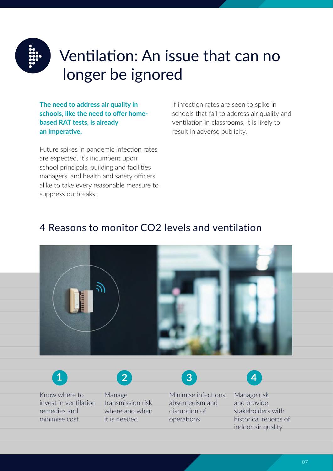

# Ventilation: An issue that can no longer be ignored

**The need to address air quality in schools, like the need to offer homebased RAT tests, is already** an imperative.

Future spikes in pandemic infection rates are expected. It's incumbent upon school principals, building and facilities managers, and health and safety officers alike to take every reasonable measure to suppress outbreaks.

minimise cost

If infection rates are seen to spike in schools that fail to address air quality and ventilation in classrooms, it is likely to result in adverse publicity.

## 4 Reasons to monitor CO2 levels and ventilation



Know where to invest in ventilation remedies and Manage transmission risk where and when Minimise infections. absenteeism and disruption of Manage risk and provide stakeholders with **1 2 3 4**

operations

it is needed

historical reports of indoor air quality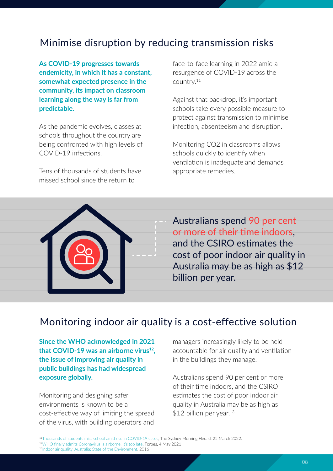## Minimise disruption by reducing transmission risks

**As COVID-19 progresses towards endemicity, in which it has a constant, somewhat expected presence in the community, its impact on classroom learning along the way is far from predictable.**

As the pandemic evolves, classes at schools throughout the country are being confronted with high levels of COVID-19 infections.

Tens of thousands of students have missed school since the return to

face-to-face learning in 2022 amid a resurgence of COVID-19 across the country.<sup>11</sup>

Against that backdrop, it's important schools take every possible measure to protect against transmission to minimise infection, absenteeism and disruption.

Monitoring CO2 in classrooms allows schools quickly to identify when ventilation is inadequate and demands appropriate remedies.



Australians spend 90 per cent or more of their time indoors, and the CSIRO estimates the cost of poor indoor air quality in Australia may be as high as \$12 billion per year.

## Monitoring indoor air quality is a cost-effective solution

**Since the WHO acknowledged in 2021 that COVID-19 was an airborne virus<sup>12</sup> , the issue of improving air quality in public buildings has had widespread exposure globally.**

Monitoring and designing safer environments is known to be a cost-effective way of limiting the spread of the virus, with building operators and

managers increasingly likely to be held accountable for air quality and ventilation in the buildings they manage.

Australians spend 90 per cent or more of their time indoors, and the CSIRO estimates the cost of poor indoor air quality in Australia may be as high as \$12 billion per year.<sup>13</sup>

<sup>11</sup>[Thousands of students miss school amid rise in COVID-19 cases](https://www.smh.com.au/national/nsw/thousands-of-students-miss-school-amid-rise-in-covid-19-cases-20220324-p5a7ge.html), The Sydney Morning Herald, 25 March 2022. 12WHO [finally admits Coronavirus is airborne. It's too late](https://www.forbes.com/sites/jvchamary/2021/05/04/who-coronavirus-airborne/?sh=36579da04472), Forbes, 4 May 2021 13[Indoor air quality, Australia: State of the Environment,](https://soe.environment.gov.au/theme/ambient-air-quality/topic/indoor-air-quality-2) 2016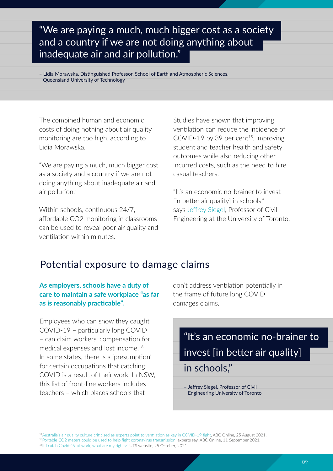## "We are paying a much, much bigger cost as a society and a country if we are not doing anything about inadequate air and air pollution."

– Lidia Morawska, Distinguished Professor, School of Earth and Atmospheric Sciences, Queensland University of Technology

The combined human and economic costs of doing nothing about air quality monitoring are too high, according to Lidia Morawska.

"We are paying a much, much bigger cost as a society and a country if we are not doing anything about inadequate air and air pollution."

Within schools, continuous 24/7, affordable CO2 monitoring in classrooms can be used to reveal poor air quality and ventilation within minutes

Studies have shown that improving ventilation can reduce the incidence of COVID-19 by 39 per cent<sup>15</sup>, improving student and teacher health and safety outcomes while also reducing other incurred costs, such as the need to hire casual teachers.

"It's an economic no-brainer to invest [in better air quality] in schools," says [Jeffrey Siegel](https://www.utsc.utoronto.ca/physsci/jeffrey-siegel), Professor of Civil Engineering at the University of Toronto.

## Potential exposure to damage claims

### **As employers, schools have a duty of care to maintain a safe workplace "as far** as is reasonably practicable".

Employees who can show they caught COVID-19 – par�cularly long COVID - can claim workers' compensation for medical expenses and lost income.<sup>16</sup> In some states, there is a 'presumption' for certain occupations that catching COVID is a result of their work. In NSW, this list of front-line workers includes teachers – which places schools that

don't address ventilation potentially in the frame of future long COVID damages claims.

## "It's an economic no-brainer to invest [in better air quality]

## in schools,"

– Jeffrey Siegel, Professor of Civil Engineering University of Toronto

<sup>14</sup>Australia's air quality culture criticised as experts point to ventilation as key in COVID-19 fight, ABC Online, 25 August 2021. <sup>15</sup>[Portable CO2 meters could be used to help](https://www.abc.net.au/news/health/2021-09-11/covid-transmission-co2-carbon-dioxide-monitor-ventilation-school/100444884) fight coronavirus transmission, experts say, ABC Online, 11 September 2021. 16[If I catch Covid-19 at work, what are my rights?,](https://www.uts.edu.au/news/business-law/if-i-catch-covid-19-work-what-are-my-rights) UTS website, 25 October, 2021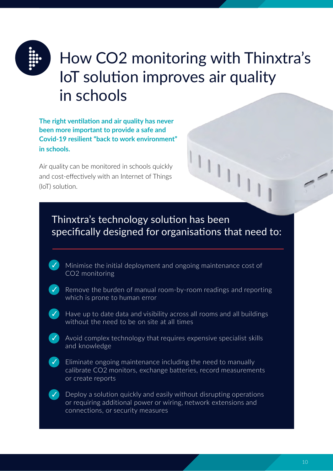

# How CO2 monitoring with Thinxtra's IoT solution improves air quality in schools

**The right ventilation and air quality has never been more important to provide a safe and Covid-19 resilient "back to work environment" in schools.**

Air quality can be monitored in schools quickly and cost-effectively with an Internet of Things (IoT) solution.





✓ Remove the burden of manual room-by-room readings and reporting which is prone to human error

✓ Have up to date data and visibility across all rooms and all buildings without the need to be on site at all times

✓

Avoid complex technology that requires expensive specialist skills and knowledge

✓

✓ Eliminate ongoing maintenance including the need to manually calibrate CO2 monitors, exchange batteries, record measurements or create reports

Deploy a solution quickly and easily without disrupting operations or requiring additional power or wiring, network extensions and connections, or security measures

 $\overline{\phantom{a}}$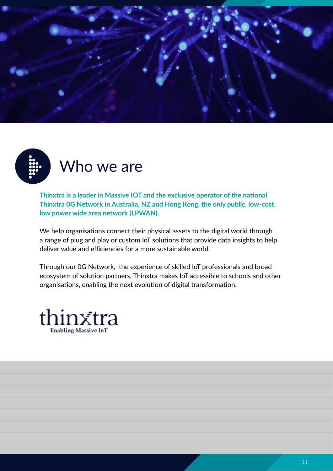



**Thinxtra is a leader in Massive IOT and the exclusive operator of the national Thinxtra 0G Network in Australia, NZ and Hong Kong, the only public, low-cost, low power wide area network (LPWAN).**

We help organisations connect their physical assets to the digital world through a range of plug and play or custom IoT solutions that provide data insights to help deliver value and efficiencies for a more sustainable world.

Through our 0G Network, the experience of skilled IoT professionals and broad ecosystem of solution partners, Thinxtra makes IoT accessible to schools and other organisations, enabling the next evolution of digital transformation.

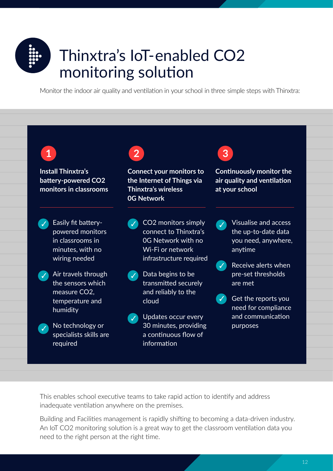

# Thinxtra's IoT-enabled CO2 monitoring solution

Monitor the indoor air quality and ventilation in your school in three simple steps with Thinxtra:

**Install Thinxtra's battery-powered CO2 monitors in classrooms**

✓ Easily fit batterypowered monitors in classrooms in minutes, with no wiring needed



✓ Air travels through the sensors which measure CO2, temperature and humidity



✓ No technology or specialists skills are required



**Connect your monitors to the Internet of Things via Thinxtra's wireless 0G Network**



- ✓ Data begins to be transmitted securely and reliably to the cloud
- ✓ Updates occur every 30 minutes, providing a continuous flow of information



**Continuously monitor the air quality and ven�la�on at your school**

- ✓ Visualise and access the up-to-date data you need, anywhere, anytime
- ✓ Receive alerts when pre-set thresholds are met
- ✓ Get the reports you need for compliance and communication purposes

This enables school executive teams to take rapid action to identify and address inadequate ventilation anywhere on the premises.

Building and Facilities management is rapidly shifting to becoming a data-driven industry. An IoT CO2 monitoring solution is a great way to get the classroom ventilation data you need to the right person at the right time.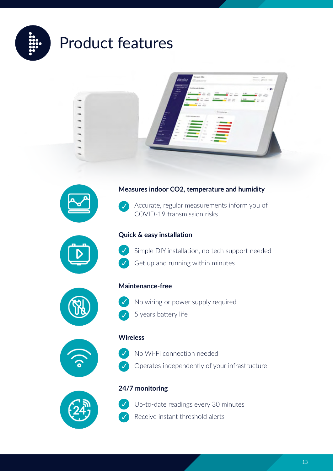

# Product features





### **Measures indoor CO2, temperature and humidity**



Accurate, regular measurements inform you of COVID-19 transmission risks



### **Quick & easy installation**



✓

✓

Simple DIY installation, no tech support needed Get up and running within minutes



### **Maintenance-free**

- No wiring or power supply required
- 5 years battery life



### No Wi-Fi connection needed ✓



**Wireless**

- 
- Operates independently of your infrastructure



### **24/7 monitoring**



Up-to-date readings every 30 minutes Receive instant threshold alerts